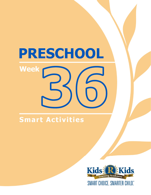## **Smart Activities**

**Week** 

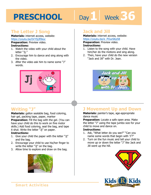# Day 1 | Week 36

### **The Letter J Song**

**Materials:** internet access, website: https://youtu.be/DrYSjJf0ksc

**Preparation:** Preview video. **Instructions:** 

- 1. Watch the video with your child about the letter "Jj."
- 2. Encourage him to dance and sing along with the video.
- 3. After the video ask him to name some "J" words.



## **Writing "J"**

**Materials:** gallon sealable bag, food coloring, hair gel, packing tape, paper, marker **Preparation:** Fill the bag with the gel. (You can have your child do this to work on fine motor skills.) Add food coloring, seal the bag, and tape it shut. Write the letter "Jj" on paper.

#### **Instructions:**

- 1. Give your child the paper with the letter "Jj" and the bag.
- 2. Encourage your child to use his/her finger to write the letter "Jj" on the bag.
- 3. Allow time to explore and draw on the bag.



### **Jack and Jill**

**Materials:** internet access, website: https://youtu.be/e\_POur6Kp58

**Preparation: Preview video.** 

#### **Instructions:**

- **1 4**  1. Listen to the song with your child. Have him/her do the motions and sing along.
- 2. Then, have your child do the new version "Jack and Jill" with Dr. Jean.



## **J Movement Up and Down**

#### **Materials:** painter's tape, age-appropriate dance music

**Preparation:** Locate a safe open area. Make the letter "J" using the tape jumbo size for your child to move and dance on.

#### **Instructions:**

- 1. Ask, "What letter do you see?" "Can you name some words that begin with 'J'?"
- 2. Turn on the fun music and tell your child to move up or down the letter "J" like Jack and Jill went up the hill.





**Smart Activities**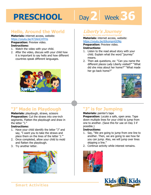# Day 2 | Week 36

### **Hello, Around the World**

**Materials:** internet access, website: https://youtu.be/472AnCrHYVs

**Preparation:** Preview video. **Instructions:** 

- 1. Watch the video with your child.
- 2. After the video, discuss with your child how it is important to say hello and how different countries speak different languages.



### **Liberty's Journey**

**by Kelly DiPucchio and Richard Egielski Materials:** internet access, website: https://youtu.be/6IkompnGONg

**1 4 Preparation:** Preview video. **Instructions:** 

- 1. Listen to the read aloud story with your child. Explain what the word "journey" means.
- 2. Then ask questions, ex: "Can you name the different places Lady Liberty visited?" "What did she miss about her home?" "What made her go back home?"



## **"J" Made in Playdough**

**Materials:** playdough, straws, scissors **Preparation:** Cut the straws into one-inch segments. Flatten the playdough and draw in the letter "J."

#### **Instructions:**

- 1. Have your child identify the letter "J" and say, "I want you to take the straws and place them on the lines of the letter 'J.'"
- 2. Once completed, allow your child to mold and flatten the playdough.
- 3. Try another letter.



## **"J" is for Jumping**

#### **Materials:** painter's tape

**Preparation:** Locate a safe, open area. Tape down multiple lines for your child to jump from one to another. (Save this for use on Day 3 if possible.)

#### **Instructions:**

- 1. Say, "We are going to jump from one line to another. Then, we are going to see how far you can jump. Also, we will jump over lines skipping a line."
- 2. Continue activity while interest remains.



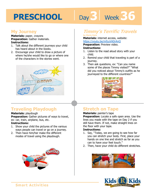# Day 3 | Week 36

### **My Journey**

**Materials:** paper, crayons **Preparation:** Gather materials. **Instructions:** 

- 1. Talk about the different journeys your child has heard about in the books.
- 2. Encourage your child to draw a picture of where he/she would like to go or where one of the characters in the stories went.



## **Traveling Playdough**

#### **Materials:** playdough

**Preparation:** Gather pictures of ways to travel, ex: car, train, airplane, bus, etc.

#### **Instructions:**

- 1. Show your child the pictures of the various ways people can travel or go on a journey.
- 2. Then have him/her make the different modes of travel using the playdough.



#### **Timmy's Terrific Travels by Marie Date**

## **Materials:** internet access, website:

https://youtu.be/mfzuVADrAnQ<br>**Preparation:** Preview video.<br>**Instructions:**<br>1. Lister to the read aloud star with w **Preparation:** Preview video. **Instructions:** 

- 1. Listen to the read aloud story with your child.
- 2. Remind your child that traveling is part of a journey.
- 3. Then ask questions, ex: "Can you name some of the places Timmy visited?" "What did you noticed about Timmy's outfits as he journeyed to the different countries?"



## **Stretch on Tape**

#### **Materials:** painter's tape

**Preparation:** Locate a safe open area. Use the lines you made with the tape on Day 2 if you still have them. If not, make straight lines on the floor with your tape.

#### **Instructions:**

- 1. Say, "Today, we are going to see how far you can stretch your body. First, place your hands on one line and stretch as far as you can to have your feet touch."
- 2. Then, have your child do different stretches.





**Smart Activities**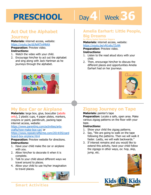# Day 4 | Week 36

## **Act Out the Alphabet**

#### **Journey**

**Materials:** internet access, website: https://youtu.be/dLReNTmMkKA

#### **Preparation:** Preview video.

- **Instructions:**
- 1. Watch the video with your child.
- 2. Encourage him/her to act out the alphabet and sing along with Jack Hartman as he journeys through the alphabet.



## **My Box Car or Airplane**

**Materials:** large box, glue, boxcutter (adults only), 2 plastic cups, 4 paper plates, markers, crayons or paint, paintbrush, packing tape internet access, website:

https://www.parenting.com/activities/artscrafts/how-make-box-car/ or

https://www.repeatcrafterme.com/2014/05/card board-box-airplane.html

**Preparation:** Preview website for directions. **Instructions:** 

- 1. Have your child make the car or airplane with you.
- 2. Allow him/her to decorate it when it is complete.
- 3. Talk to your child about different ways we travel around to places.
- 4. Allow your child to use his/her imagination to travel places.



## **Amelia Earhart: Little People,**

#### **Big Dreams**

**by Maria Isabel Sanchez Vegara** 

by maria Isabel Sanchez vegara<br>**Materials:** internet access, website:<br>https://youtu.be/vN1o6u7Zo9A<br>**Preparation:** Preview video. https://youtu.be/vN1o6u7Zo9A

**Preparation:** Preview video.

#### **Instructions:**

- 1. Listen to the read aloud story with your child.
- 2. Then, encourage him/her to discuss the different places and opportunities Amelia Earhart had on her journeys.



## **Zigzag Journey on Tape**

#### **Materials:** painter's tape

**Preparation:** Locate a safe, open area. Make various zigzag patterns on the floor with your tape.

#### **Instructions:**

- 1. Show your child the zigzag patterns.
- 2. Say, "We are going to walk on the tape following the patterns. Then we will walk it faster. Lastly, we will walk backwards."
- 3. If interest remains and you would like to extend this activity, have your child follow the zigzags in other ways, ex: hop, skip, jump, etc.





#### **Smart Activities**